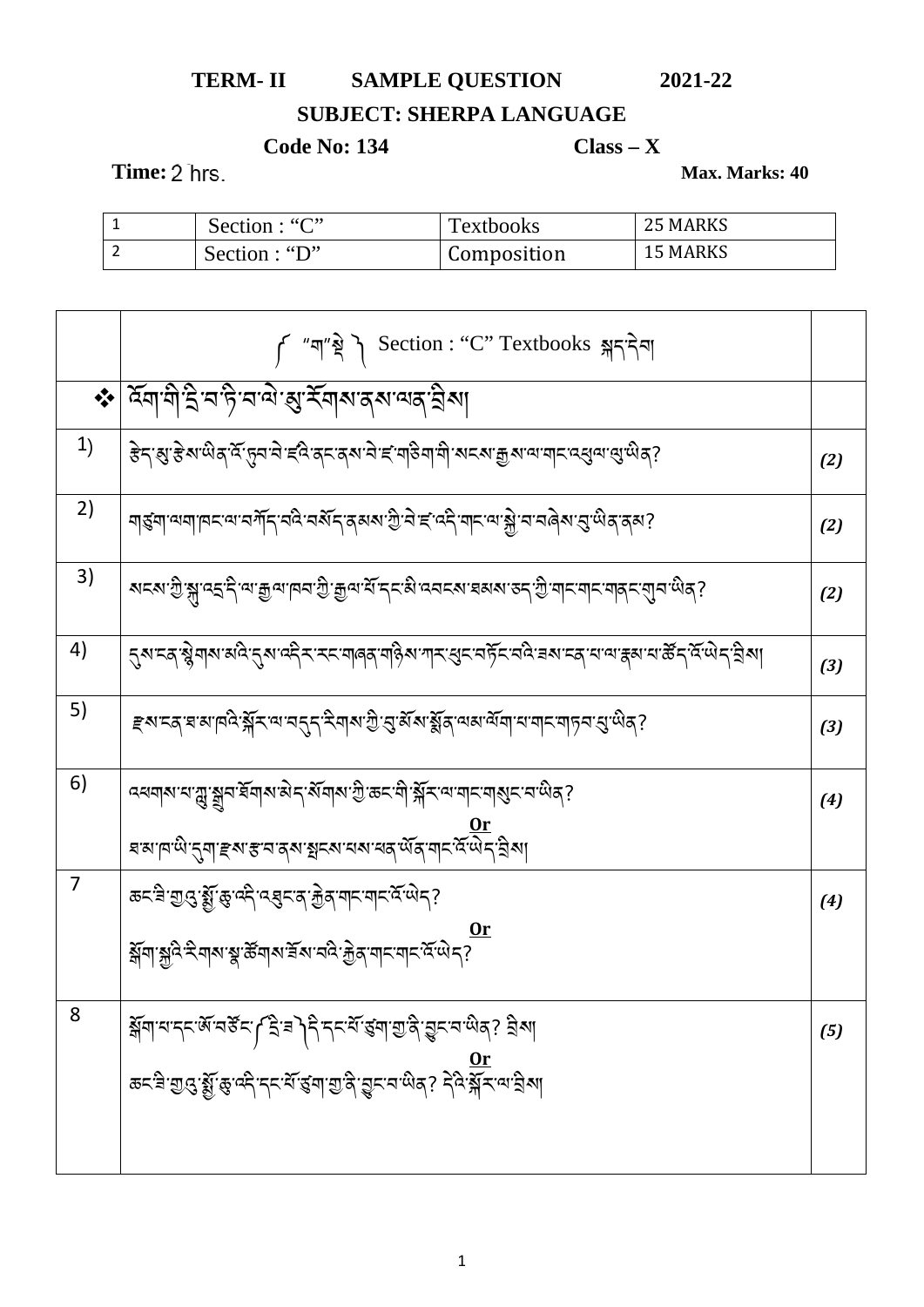## TERM-II SAMPLE QUESTION 2021-22

## **SUBJECT: SHERPA LANGUAGE**

## **Code No: 134**

 $Class - X$ 

Time: 2 hrs.

Max. Marks: 40

| Section : "C" | <b>Textbooks</b> | <b>25 MARKS</b> |
|---------------|------------------|-----------------|
| Section : "D" | Composition      | <b>15 MARKS</b> |

|    | f "ག"སྲི་དེད་དེབ། Section : "C" Textbooks क्लाइनेना                                                                                                                                                                                   |       |
|----|---------------------------------------------------------------------------------------------------------------------------------------------------------------------------------------------------------------------------------------|-------|
|    | *   देवा वो है व है व बे सुर् मारा तरा बन है या                                                                                                                                                                                       |       |
| 1) | ड़ॆॸॱॶॱड़ॆॺॱऄॺॱ <sup>ढ़ॱ</sup> ॸॖॢॸॱॸॆॱड़॔ढ़॓ॱॺॸॺॱऄॱड़ॱग़ऻऀऄग़ॱग़ॆॱॺॸॺॱक़ॗॺॱॺॱॻऻॸॱढ़ख़ॖॺॱॶॱऄॺॽ                                                                                                                                        | (2)   |
| 2) | ٵॾ॔ॻॱॺॻॱॸॎॸॱॺॱॸॻ॔ॆॸ॔ॱॸढ़ॆॱॸॲॸॱॸॺॺॱॻॖॆॱॸॆॱड़ॱढ़ॸॆॱॻॸॱॺॱऄॗॱॸॱॸढ़ॆॺॱड़ॖॱऄड़ॱढ़ॺ?                                                                                                                                                         | (2)   |
| 3) | <u> ซะซ.จู.่ฟี้.ส์.สร์ และขึ้งแต่ส.จู.ขึ้งส.รุ.สะส.สระช.สรรช.จะไจรแต่สะเขียน สูร.ส์</u>                                                                                                                                               | (2)   |
| 4) |                                                                                                                                                                                                                                       | $(3)$ |
| 5) | <i>ਞ</i> য়ৼ৶য়ৼ৸ঢ়ড়ড়ৗৼ৻ড়৻৸ৼঀৼঀৼ৻ড়ৢ৻৸ড়ঢ়ড়৻ড়৻ড়৻ড়৻ড়৻ড়৻ড়৸ৼঢ়ঢ়৸ড়ঢ়৸ড়ঢ়৸ড়৸ৼ৻                                                                                                                                               | (3)   |
| 6) |                                                                                                                                                                                                                                       | (4)   |
|    | حتمر ہے۔<br>اسلام کی اسلام کے اسلام کی اسلام کی اسلام کی اسلام کی اسلام کی اسلام کی اسلام کی اسلام کی اسلام کی اسلام کی اس<br>اسلام کی اسلام کی اسلام کی اسلام کی اسلام کی اسلام کی اسلام کی اسلام کی اسلام کی اسلام کی اسلام کی اس   |       |
| 7  | <i>बद्ध</i> ु:द्यु <i>द्</i> र्श्सुं:ङ्:दद्गे:दर्श्वद्गत्र्'क्रुव्'याद्गयाद्गद्गयोद्?                                                                                                                                                 | (4)   |
|    | য়৸ৠৢ৻ঽ৾ৼয়ঀয়ৼৢৼড়য়ঀয়ৼয়ৼ৻ড়৻ৼড়ড়ৼ৸ৼ৻ৼ৻ড়৸ৼ৾                                                                                                                                                                                      |       |
| 8  | العَلَى المَالِي السِّلَامِينَ مِنْ الْمَالِيُّةِ مِنْ الْمَسْتَقَارَ مِنْ الْمَالِيُّةِ مِنْ الْمَ<br><u>مى مى</u><br>سىمىيەتىلىكى ئەسكەت ئەسىمىيەت ئەسكەت ئەنگەن ئەسىمىيەت ئەسىمىيەت ئەسىمىيەت ئەسىمىيەت ئەنگەن ئەنگەن ئەنگەن ئەنگە | (5)   |
|    |                                                                                                                                                                                                                                       |       |